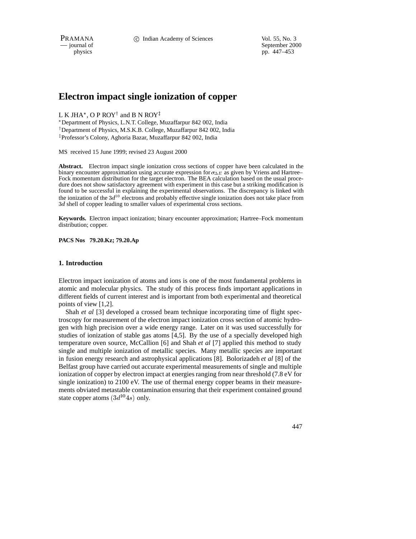PRAMANA 
<sup>c</sup> Indian Academy of Sciences Vol. 55, No. 3<br>
— journal of September 200

physics<br>
a general of September 2000<br>
pp. 447–453<br>
pp. 447–453 pp. 447–453

# **Electron impact single ionization of copper**

L K JHA\*, O P ROY<sup>†</sup> and B N ROY<sup>‡</sup>

 Department of Physics, L.N.T. College, Muzaffarpur 842 002, India <sup>†</sup> Department of Physics, M.S.K.B. College, Muzaffarpur 842 002, India <sup>z</sup> Professor's Colony, Aghoria Bazar, Muzaffarpur 842 002, India

MS received 15 June 1999; revised 23 August 2000

**Abstract.** Electron impact single ionization cross sections of copper have been calculated in the binary encounter approximation using accurate expression for  $\sigma_{\Delta E}$  as given by Vriens and Hartree– Fock momentum distribution for the target electron. The BEA calculation based on the usual procedure does not show satisfactory agreement with experiment in this case but a striking modification is found to be successful in explaining the experimental observations. The discrepancy is linked with the ionization of the  $3d^{10}$  electrons and probably effective single ionization does not take place from 3d shell of copper leading to smaller values of experimental cross sections.

**Keywords.** Electron impact ionization; binary encounter approximation; Hartree–Fock momentum distribution; copper.

**PACS Nos 79.20.Kz; 79.20.Ap**

## **1. Introduction**

Electron impact ionization of atoms and ions is one of the most fundamental problems in atomic and molecular physics. The study of this process finds important applications in different fields of current interest and is important from both experimental and theoretical points of view [1,2].

Shah *et al* [3] developed a crossed beam technique incorporating time of flight spectroscopy for measurement of the electron impact ionization cross section of atomic hydrogen with high precision over a wide energy range. Later on it was used successfully for studies of ionization of stable gas atoms [4,5]. By the use of a specially developed high temperature oven source, McCallion [6] and Shah *et al* [7] applied this method to study single and multiple ionization of metallic species. Many metallic species are important in fusion energy research and astrophysical applications [8]. Bolorizadeh *et al* [8] of the Belfast group have carried out accurate experimental measurements of single and multiple ionization of copper by electron impact at energies ranging from near threshold (7.8 eV for single ionization) to 2100 eV. The use of thermal energy copper beams in their measurements obviated metastable contamination ensuring that their experiment contained ground state copper atoms  $(3d^{10}4s)$  only.

447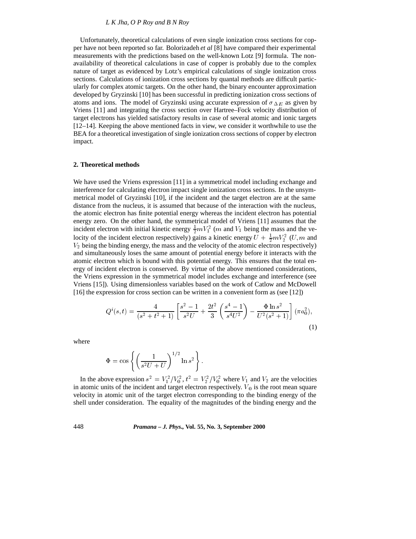# *L K Jha, O P Roy and B N Roy*

Unfortunately, theoretical calculations of even single ionization cross sections for copper have not been reported so far. Bolorizadeh *et al* [8] have compared their experimental measurements with the predictions based on the well-known Lotz [9] formula. The nonavailability of theoretical calculations in case of copper is probably due to the complex nature of target as evidenced by Lotz's empirical calculations of single ionization cross sections. Calculations of ionization cross sections by quantal methods are difficult particularly for complex atomic targets. On the other hand, the binary encounter approximation developed by Gryzinski [10] has been successful in predicting ionization cross sections of atoms and ions. The model of Gryzinski using accurate expression of  $\sigma_{\Delta E}$  as given by Vriens [11] and integrating the cross section over Hartree–Fock velocity distribution of target electrons has yielded satisfactory results in case of several atomic and ionic targets [12–14]. Keeping the above mentioned facts in view, we consider it worthwhile to use the BEA for a theoretical investigation of single ionization cross sections of copper by electron impact.

#### **2. Theoretical methods**

We have used the Vriens expression [11] in a symmetrical model including exchange and interference for calculating electron impact single ionization cross sections. In the unsymmetrical model of Gryzinski [10], if the incident and the target electron are at the same distance from the nucleus, it is assumed that because of the interaction with the nucleus, the atomic electron has finite potential energy whereas the incident electron has potential energy zero. On the other hand, the symmetrical model of Vriens [11] assumes that the incident electron with initial kinetic energy  $\frac{1}{2}mV_1^2$  (*m* and  $V_1$  being the mass and the velocity of the incident electron respectively) gains a kinetic energy  $U + \frac{1}{2} mV_2^2(U, m$  and  $V_2$  being the binding energy, the mass and the velocity of the atomic electron respectively) and simultaneously loses the same amount of potential energy before it interacts with the atomic electron which is bound with this potential energy. This ensures that the total energy of incident electron is conserved. By virtue of the above mentioned considerations, the Vriens expression in the symmetrical model includes exchange and interference (see Vriens [15]). Using dimensionless variables based on the work of Catlow and McDowell [16] the expression for cross section can be written in a convenient form as (see [12])

$$
Q^{i}(s,t) = \frac{4}{(s^{2} + t^{2} + 1)} \left[ \frac{s^{2} - 1}{s^{2}U} + \frac{2t^{2}}{3} \left( \frac{s^{4} - 1}{s^{4}U^{2}} \right) - \frac{\Phi \ln s^{2}}{U^{2}(s^{2} + 1)} \right] (\pi a_{0}^{2}),
$$
\n(1)

where

$$
\Phi = \cos\left\{ \left( \frac{1}{s^2 U + U} \right)^{1/2} \ln s^2 \right\}.
$$

In the above expression  $s^2 = V_1^2/V_0^2$ ,  $t^2 = V_2^2/V_0^2$  where  $V_1$  and  $V_2$  are the velocities in atomic units of the incident and target electron respectively.  $V_0$  is the root mean square velocity in atomic unit of the target electron corresponding to the binding energy of the shell under consideration. The equality of the magnitudes of the binding energy and the

#### 448 *Pramana – J. Phys.,* **Vol. 55, No. 3, September 2000**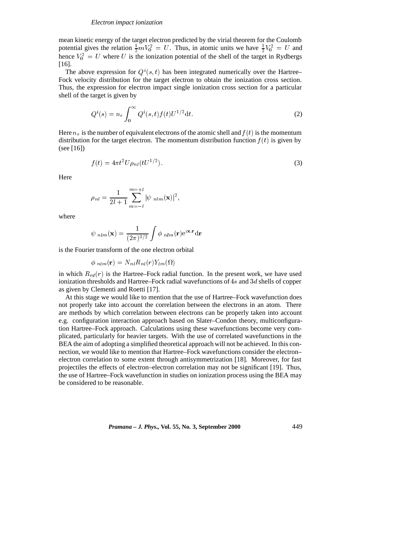#### *Electron impact ionization*

mean kinetic energy of the target electron predicted by the virial theorem for the Coulomb potential gives the relation  $\frac{1}{2}mV_0^2 = U$ . Thus, in atomic units we have  $\frac{1}{2}V_0^2 = U$  and hence  $V_0^2 = U$  where U is the ionization potential of the shell of the target in Rydbergs [16].

The above expression for  $Q^{i}(s, t)$  has been integrated numerically over the Hartree– Fock velocity distribution for the target electron to obtain the ionization cross section. Thus, the expression for electron impact single ionization cross section for a particular shell of the target is given by

$$
Q^{i}(s) = n_{e} \int_{0}^{\infty} Q^{i}(s, t) f(t) U^{1/2} dt.
$$
 (2)

Here  $n_e$  is the number of equivalent electrons of the atomic shell and  $f(t)$  is the momentum distribution for the target electron. The momentum distribution function  $f(t)$  is given by (see [16])

$$
f(t) = 4\pi t^2 U \rho_{nl} (tU^{1/2}).
$$
\n(3)

Here

$$
\rho_{nl} = \frac{1}{2l+1} \sum_{m=-l}^{m=+l} |\psi_{nlm}(\mathbf{x})|^2,
$$

where

$$
\psi_{nlm}(\mathbf{x}) = \frac{1}{(2\pi)^{3/2}} \int \phi_{nlm}(\mathbf{r}) e^{i\mathbf{x}.\mathbf{r}} d\mathbf{r}
$$

is the Fourier transform of the one electron orbital

$$
\phi_{nlm}(\mathbf{r}) = N_{nl} R_{nl}(r) Y_{lm}(\Omega)
$$

in which  $R_{nl}(r)$  is the Hartree–Fock radial function. In the present work, we have used ionization thresholds and Hartree–Fock radial wavefunctions of  $4s$  and  $3d$  shells of copper as given by Clementi and Roetti [17].

At this stage we would like to mention that the use of Hartree–Fock wavefunction does not properly take into account the correlation between the electrons in an atom. There are methods by which correlation between electrons can be properly taken into account e.g. configuration interaction approach based on Slater–Condon theory, multiconfiguration Hartree–Fock approach. Calculations using these wavefunctions become very complicated, particularly for heavier targets. With the use of correlated wavefunctions in the BEA the aim of adopting a simplified theoretical approach will not be achieved. In this connection, we would like to mention that Hartree–Fock wavefunctions consider the electron– electron correlation to some extent through antisymmetrization [18]. Moreover, for fast projectiles the effects of electron–electron correlation may not be significant [19]. Thus, the use of Hartree–Fock wavefunction in studies on ionization process using the BEA may be considered to be reasonable.

*Pramana – J. Phys.,* **Vol. 55, No. 3, September 2000** 449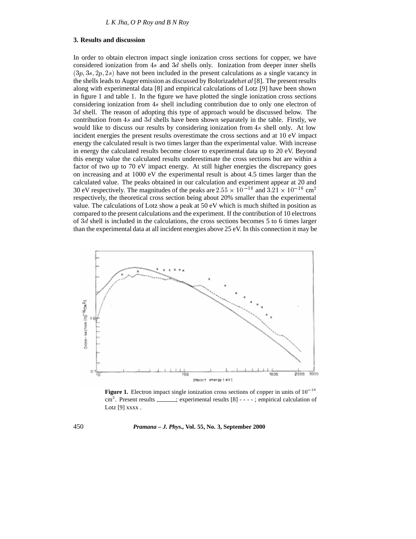# **3. Results and discussion**

In order to obtain electron impact single ionization cross sections for copper, we have considered ionization from 4s and 3d shells only. Ionization from deeper inner shells  $(3p, 3s, 2p, 2s)$  have not been included in the present calculations as a single vacancy in the shells leads to Auger emission as discussed by Bolorizadeh*et al* [8]. The present results along with experimental data [8] and empirical calculations of Lotz [9] have been shown in figure 1 and table 1. In the figure we have plotted the single ionization cross sections considering ionization from 4s shell including contribution due to only one electron of 3d shell. The reason of adopting this type of approach would be discussed below. The contribution from 4s and 3d shells have been shown separately in the table. Firstly, we would like to discuss our results by considering ionization from 4s shell only. At low incident energies the present results overestimate the cross sections and at 10 eV impact energy the calculated result is two times larger than the experimental value. With increase in energy the calculated results become closer to experimental data up to 20 eV. Beyond this energy value the calculated results underestimate the cross sections but are within a factor of two up to 70 eV impact energy. At still higher energies the discrepancy goes on increasing and at 1000 eV the experimental result is about 4.5 times larger than the calculated value. The peaks obtained in our calculation and experiment appear at 20 and 30 eV respectively. The magnitudes of the peaks are  $2.55 \times 10^{-16}$  and  $3.21 \times 10^{-16}$  cm<sup>2</sup> respectively, the theoretical cross section being about 20% smaller than the experimental value. The calculations of Lotz show a peak at 50 eV which is much shifted in position as compared to the present calculations and the experiment. If the contribution of 10 electrons of 3d shell is included in the calculations, the cross sections becomes 5 to 6 times larger than the experimental data at all incident energies above 25 eV. In this connection it may be



**Figure 1.** Electron impact single ionization cross sections of copper in units of  $10^{-16}$  $\text{cm}^2$ . Present results  $\text{S}$  =  $\text{C}$  =  $\text{C}$  =  $\text{C}$  =  $\text{C}$  =  $\text{C}$  =  $\text{C}$  =  $\text{C}$  =  $\text{C}$  =  $\text{C}$  =  $\text{C}$  =  $\text{C}$  =  $\text{C}$  =  $\text{C}$  =  $\text{C}$  =  $\text{C}$  =  $\text{C}$  =  $\text{C}$  =  $\text{C}$  =  $\text{$ Lotz [9] xxxx.

# 450 *Pramana – J. Phys.,* **Vol. 55, No. 3, September 2000**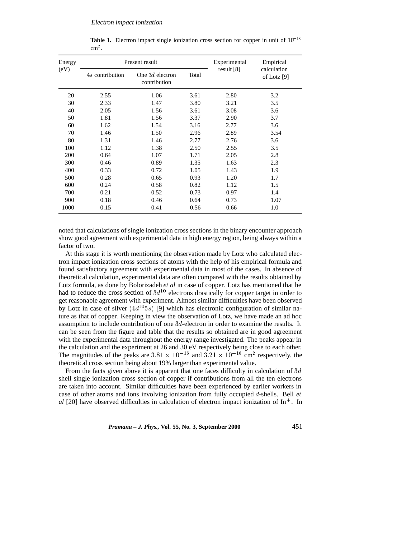| Energy<br>(eV) | Present result  |                                   |       | Experimental | Empirical                    |
|----------------|-----------------|-----------------------------------|-------|--------------|------------------------------|
|                | 4s contribution | One $3d$ electron<br>contribution | Total | result $[8]$ | calculation<br>of Lotz $[9]$ |
| 20             | 2.55            | 1.06                              | 3.61  | 2.80         | 3.2                          |
| 30             | 2.33            | 1.47                              | 3.80  | 3.21         | 3.5                          |
| 40             | 2.05            | 1.56                              | 3.61  | 3.08         | 3.6                          |
| 50             | 1.81            | 1.56                              | 3.37  | 2.90         | 3.7                          |
| 60             | 1.62            | 1.54                              | 3.16  | 2.77         | 3.6                          |
| 70             | 1.46            | 1.50                              | 2.96  | 2.89         | 3.54                         |
| 80             | 1.31            | 1.46                              | 2.77  | 2.76         | 3.6                          |
| 100            | 1.12            | 1.38                              | 2.50  | 2.55         | 3.5                          |
| 200            | 0.64            | 1.07                              | 1.71  | 2.05         | 2.8                          |
| 300            | 0.46            | 0.89                              | 1.35  | 1.63         | 2.3                          |
| 400            | 0.33            | 0.72                              | 1.05  | 1.43         | 1.9                          |
| 500            | 0.28            | 0.65                              | 0.93  | 1.20         | 1.7                          |
| 600            | 0.24            | 0.58                              | 0.82  | 1.12         | 1.5                          |
| 700            | 0.21            | 0.52                              | 0.73  | 0.97         | 1.4                          |
| 900            | 0.18            | 0.46                              | 0.64  | 0.73         | 1.07                         |
| 1000           | 0.15            | 0.41                              | 0.56  | 0.66         | 1.0                          |

**Table 1.** Electron impact single ionization cross section for copper in unit of  $10^{-16}$  $\text{cm}^2$ .

noted that calculations of single ionization cross sections in the binary encounter approach show good agreement with experimental data in high energy region, being always within a factor of two.

At this stage it is worth mentioning the observation made by Lotz who calculated electron impact ionization cross sections of atoms with the help of his empirical formula and found satisfactory agreement with experimental data in most of the cases. In absence of theoretical calculation, experimental data are often compared with the results obtained by Lotz formula, as done by Bolorizadeh *et al* in case of copper. Lotz has mentioned that he had to reduce the cross section of  $3d^{10}$  electrons drastically for copper target in order to get reasonable agreement with experiment. Almost similar difficulties have been observed by Lotz in case of silver  $(4d^{10}5s)$  [9] which has electronic configuration of similar nature as that of copper. Keeping in view the observation of Lotz, we have made an ad hoc assumption to include contribution of one 3d-electron in order to examine the results. It can be seen from the figure and table that the results so obtained are in good agreement with the experimental data throughout the energy range investigated. The peaks appear in the calculation and the experiment at 26 and 30 eV respectively being close to each other. The magnitudes of the peaks are  $3.81 \times 10^{-16}$  and  $3.21 \times 10^{-16}$  cm<sup>2</sup> respectively, the theoretical cross section being about 19% larger than experimental value.

From the facts given above it is apparent that one faces difficulty in calculation of  $3d$ shell single ionization cross section of copper if contributions from all the ten electrons are taken into account. Similar difficulties have been experienced by earlier workers in case of other atoms and ions involving ionization from fully occupied <sup>d</sup>-shells. Bell *et al* [20] have observed difficulties in calculation of electron impact ionization of In<sup>+</sup>. In

*Pramana – J. Phys.,* **Vol. 55, No. 3, September 2000** 451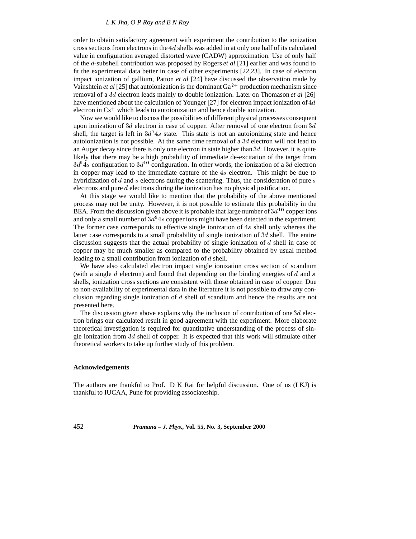# *L K Jha, O P Roy and B N Roy*

order to obtain satisfactory agreement with experiment the contribution to the ionization cross sections from electrons in the  $4d$  shells was added in at only one half of its calculated value in configuration averaged distorted wave (CADW) approximation. Use of only half of the <sup>d</sup>-subshell contribution was proposed by Rogers *et al* [21] earlier and was found to fit the experimental data better in case of other experiments [22,23]. In case of electron impact ionization of gallium, Patton *et al* [24] have discussed the observation made by Vainshtein *et al* [25] that autoionization is the dominant  $Ga^{2+}$  production mechanism since removal of a 3d electron leads mainly to double ionization. Later on Thomason *et al* [26] have mentioned about the calculation of Younger [27] for electron impact ionization of  $4d$ electron in Cs<sup>+</sup> which leads to autoionization and hence double ionization.

Now we would like to discuss the possibilities of different physical processes consequent upon ionization of 3d electron in case of copper. After removal of one electron from  $3d$ shell, the target is left in  $3d<sup>9</sup>4s$  state. This state is not an autoionizing state and hence autoionization is not possible. At the same time removal of a  $3d$  electron will not lead to an Auger decay since there is only one electron in state higher than  $3d$ . However, it is quite likely that there may be a high probability of immediate de-excitation of the target from  $3d<sup>9</sup>4s$  configuration to  $3d<sup>10</sup>$  configuration. In other words, the ionization of a 3d electron in copper may lead to the immediate capture of the 4s electron. This might be due to hybridization of d and s electrons during the scattering. Thus, the consideration of pure s electrons and pure <sup>d</sup> electrons during the ionization has no physical justification.

At this stage we would like to mention that the probability of the above mentioned process may not be unity. However, it is not possible to estimate this probability in the BEA. From the discussion given above it is probable that large number of  $3d^{10}$  copper ions and only a small number of  $3d<sup>9</sup>4s$  copper ions might have been detected in the experiment. The former case corresponds to effective single ionization of 4s shell only whereas the latter case corresponds to a small probability of single ionization of 3d shell. The entire discussion suggests that the actual probability of single ionization of  $d$  shell in case of copper may be much smaller as compared to the probability obtained by usual method leading to a small contribution from ionization of <sup>d</sup> shell.

We have also calculated electron impact single ionization cross section of scandium (with a single d electron) and found that depending on the binding energies of d and s shells, ionization cross sections are consistent with those obtained in case of copper. Due to non-availability of experimental data in the literature it is not possible to draw any conclusion regarding single ionization of <sup>d</sup> shell of scandium and hence the results are not presented here.

The discussion given above explains why the inclusion of contribution of one  $3d$  electron brings our calculated result in good agreement with the experiment. More elaborate theoretical investigation is required for quantitative understanding of the process of single ionization from  $3d$  shell of copper. It is expected that this work will stimulate other theoretical workers to take up further study of this problem.

#### **Acknowledgements**

The authors are thankful to Prof. D K Rai for helpful discussion. One of us (LKJ) is thankful to IUCAA, Pune for providing associateship.

452 *Pramana – J. Phys.,* **Vol. 55, No. 3, September 2000**